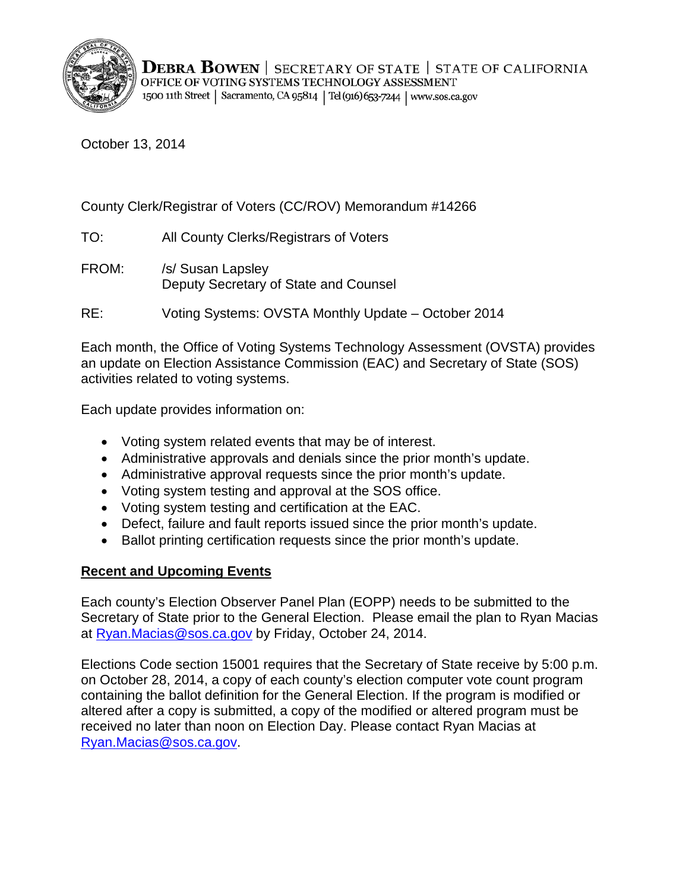

October 13, 2014

# County Clerk/Registrar of Voters (CC/ROV) Memorandum #14266

TO: All County Clerks/Registrars of Voters

FROM: /s/ Susan Lapsley Deputy Secretary of State and Counsel

RE: Voting Systems: OVSTA Monthly Update – October 2014

Each month, the Office of Voting Systems Technology Assessment (OVSTA) provides an update on Election Assistance Commission (EAC) and Secretary of State (SOS) activities related to voting systems.

Each update provides information on:

- Voting system related events that may be of interest.
- Administrative approvals and denials since the prior month's update.
- Administrative approval requests since the prior month's update.
- Voting system testing and approval at the SOS office.
- Voting system testing and certification at the EAC.
- Defect, failure and fault reports issued since the prior month's update.
- Ballot printing certification requests since the prior month's update.

# **Recent and Upcoming Events**

Each county's Election Observer Panel Plan (EOPP) needs to be submitted to the Secretary of State prior to the General Election. Please email the plan to Ryan Macias at Ryan. Macias @sos.ca.gov by Friday, October 24, 2014.

Elections Code section 15001 requires that the Secretary of State receive by 5:00 p.m. on October 28, 2014, a copy of each county's election computer vote count program containing the ballot definition for the General Election. If the program is modified or altered after a copy is submitted, a copy of the modified or altered program must be received no later than noon on Election Day. Please contact Ryan Macias at [Ryan.Macias@sos.ca.gov.](mailto:Ryan.Macias@sos.ca.gov)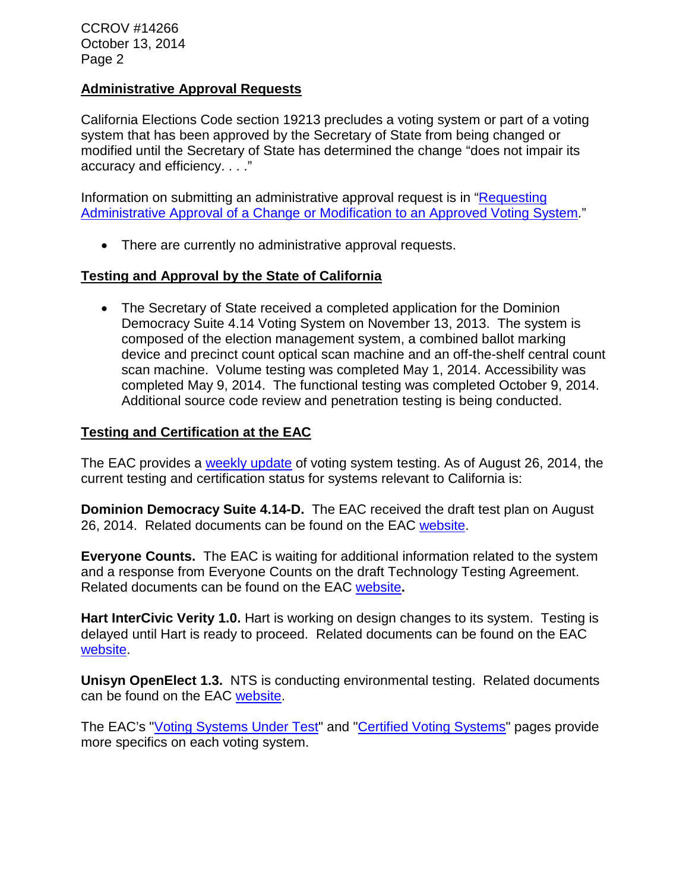CCROV #14266 October 13, 2014 Page 2

#### **Administrative Approval Requests**

California Elections Code section 19213 precludes a voting system or part of a voting system that has been approved by the Secretary of State from being changed or modified until the Secretary of State has determined the change "does not impair its accuracy and efficiency. . . ."

Information on submitting an administrative approval request is in ["Requesting](http://www.sos.ca.gov/voting-systems/cert-and-approval/vsysapproval/admin-approval-requirements2012.pdf)  [Administrative Approval of a Change or Modification to an Approved Voting System.](http://www.sos.ca.gov/voting-systems/cert-and-approval/vsysapproval/admin-approval-requirements2012.pdf)"

• There are currently no administrative approval requests.

### **Testing and Approval by the State of California**

• The Secretary of State received a completed application for the Dominion Democracy Suite 4.14 Voting System on November 13, 2013. The system is composed of the election management system, a combined ballot marking device and precinct count optical scan machine and an off-the-shelf central count scan machine. Volume testing was completed May 1, 2014. Accessibility was completed May 9, 2014. The functional testing was completed October 9, 2014. Additional source code review and penetration testing is being conducted.

#### **Testing and Certification at the EAC**

The EAC provides a [weekly update](http://www.eac.gov/blogs/voting_system_testing_update_82614/) of voting system testing. As of August 26, 2014, the current testing and certification status for systems relevant to California is:

**Dominion Democracy Suite 4.14-D.** The EAC received the draft test plan on August 26, 2014. Related documents can be found on the EAC [website.](http://www.eac.gov/testing_and_certification/voting_systems_under_test.aspx)

**Everyone Counts.** The EAC is waiting for additional information related to the system and a response from Everyone Counts on the draft Technology Testing Agreement. Related documents can be found on the EAC [website](http://www.eac.gov/testing_and_certification/voting_systems_under_test.aspx)**.**

**Hart InterCivic Verity 1.0.** Hart is working on design changes to its system. Testing is delayed until Hart is ready to proceed. Related documents can be found on the EAC [website.](http://www.eac.gov/testing_and_certification/voting_systems_under_test.aspx)

**Unisyn OpenElect 1.3.** NTS is conducting environmental testing. Related documents can be found on the EAC [website.](http://www.eac.gov/testing_and_certification/voting_systems_under_test.aspx)

The EAC's ["Voting Systems Under Test"](http://www.eac.gov/testing_and_certification/voting_systems_under_test.aspx) and ["Certified Voting Systems"](http://www.eac.gov/testing_and_certification/certified_voting_systems.aspx) pages provide more specifics on each voting system.